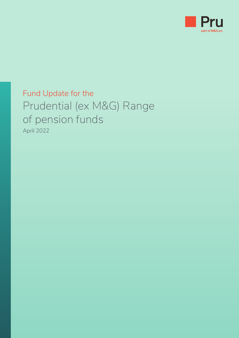

### Fund Update for the Prudential (ex M&G) Range of pension funds April 2022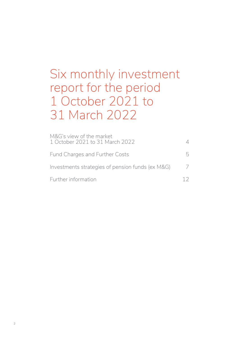# Six monthly investment report for the period 1 October 2021 to 31 March 2022

| M&G's view of the market<br>1 October 2021 to 31 March 2022 |  |
|-------------------------------------------------------------|--|
| Fund Charges and Further Costs                              |  |
| Investments strategies of pension funds (ex M&G)            |  |
| Further information                                         |  |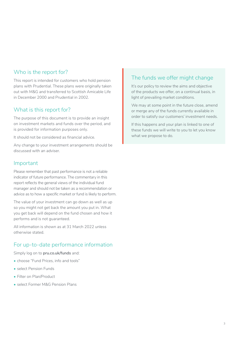#### Who is the report for?

This report is intended for customers who hold pension plans with Prudential. These plans were originally taken out with M&G and transferred to Scottish Amicable Life in December 2000 and Prudential in 2002.

#### What is this report for?

The purpose of this document is to provide an insight on investment markets and funds over the period, and is provided for information purposes only.

It should not be considered as financial advice.

Any change to your investment arrangements should be discussed with an adviser.

#### Important

Please remember that past performance is not a reliable indicator of future performance. The commentary in this report reflects the general views of the individual fund manager and should not be taken as a recommendation or advice as to how a specific market or fund is likely to perform.

The value of your investment can go down as well as up so you might not get back the amount you put in. What you get back will depend on the fund chosen and how it performs and is not guaranteed.

All information is shown as at 31 March 2022 unless otherwise stated.

#### For up-to-date performance information

Simply log on to **[pru.co.uk/funds](http://pru.co.uk/funds)** and:

- choose "Fund Prices, info and tools"
- select Pension Funds
- Filter on Plan/Product
- select Former M&G Pension Plans

#### The funds we offer might change

It's our policy to review the aims and objective of the products we offer, on a continual basis, in light of prevailing market conditions.

We may at some point in the future close, amend or merge any of the funds currently available in order to satisfy our customers' investment needs.

If this happens and your plan is linked to one of these funds we will write to you to let you know what we propose to do.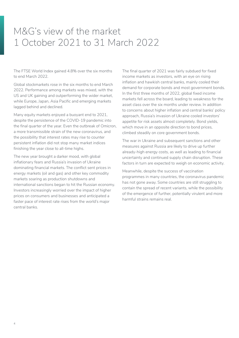### <span id="page-3-0"></span>M&G's view of the market 1 October 2021 to 31 March 2022

The FTSE World Index gained 4.8% over the six months to end March 2022.

Global stockmarkets rose in the six months to end March 2022. Performance among markets was mixed, with the US and UK gaining and outperforming the wider market, while Europe, Japan, Asia Pacific and emerging markets lagged behind and declined.

Many equity markets enjoyed a buoyant end to 2021, despite the persistence of the COVID-19 pandemic into the final quarter of the year. Even the outbreak of Omicron, a more transmissible strain of the new coronavirus, and the possibility that interest rates may rise to counter persistent inflation did not stop many market indices finishing the year close to all-time highs.

The new year brought a darker mood, with global inflationary fears and Russia's invasion of Ukraine dominating financial markets. The conflict sent prices in energy markets (oil and gas) and other key commodity markets soaring as production shutdowns and international sanctions began to hit the Russian economy. Investors increasingly worried over the impact of higher prices on consumers and businesses and anticipated a faster pace of interest rate rises from the world's major central banks.

The final quarter of 2021 was fairly subdued for fixed income markets as investors, with an eye on rising inflation and hawkish central banks, mainly cooled their demand for corporate bonds and most government bonds. In the first three months of 2022, global fixed income markets fell across the board, leading to weakness for the asset class over the six months under review. In addition to concerns about higher inflation and central banks' policy approach, Russia's invasion of Ukraine cooled investors' appetite for risk assets almost completely. Bond yields, which move in an opposite direction to bond prices, climbed steadily on core government bonds.

The war in Ukraine and subsequent sanctions and other measures against Russia are likely to drive up further already-high energy costs, as well as leading to financial uncertainty and continued supply chain disruption. These factors in turn are expected to weigh on economic activity.

Meanwhile, despite the success of vaccination programmes in many countries, the coronavirus pandemic has not gone away. Some countries are still struggling to contain the spread of recent variants, while the possibility of the emergence of further, potentially virulent and more harmful strains remains real.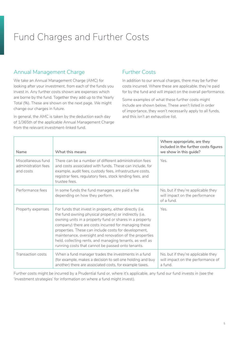## <span id="page-4-0"></span>Fund Charges and Further Costs

#### Annual Management Charge

We take an Annual Management Charge (AMC) for looking after your investment, from each of the funds you invest in. Any further costs shown are expenses which are borne by the fund. Together they add up to the Yearly Total (%). These are shown on the next page. We might change our charges in future.

In general, the AMC is taken by the deduction each day of 1/365th of the applicable Annual Management Charge from the relevant investment-linked fund.

#### Further Costs

In addition to our annual charges, there may be further costs incurred. Where these are applicable, they're paid for by the fund and will impact on the overall performance.

Some examples of what these further costs might include are shown below. These aren't listed in order of importance, they won't necessarily apply to all funds, and this isn't an exhaustive list.

| Name                                                   | What this means                                                                                                                                                                                                                                                                                                                                                                                                                                                           | Where appropriate, are they<br>included in the further costs figures<br>we show in this guide? |
|--------------------------------------------------------|---------------------------------------------------------------------------------------------------------------------------------------------------------------------------------------------------------------------------------------------------------------------------------------------------------------------------------------------------------------------------------------------------------------------------------------------------------------------------|------------------------------------------------------------------------------------------------|
| Miscellaneous fund<br>administration fees<br>and costs | There can be a number of different administration fees<br>and costs associated with funds. These can include, for<br>example, audit fees, custody fees, infrastructure costs,<br>registrar fees, regulatory fees, stock lending fees, and<br>trustee fees.                                                                                                                                                                                                                | Yes.                                                                                           |
| Performance fees                                       | In some funds the fund managers are paid a fee<br>depending on how they perform.                                                                                                                                                                                                                                                                                                                                                                                          | No, but if they're applicable they<br>will impact on the performance<br>of a fund.             |
| Property expenses                                      | For funds that invest in property, either directly (i.e.<br>the fund owning physical property) or indirectly (i.e.<br>owning units in a property fund or shares in a property<br>company) there are costs incurred for managing these<br>properties. These can include costs for development,<br>maintenance, oversight and renovation of the properties<br>held, collecting rents, and managing tenants, as well as<br>running costs that cannot be passed onto tenants. | Yes.                                                                                           |
| Transaction costs                                      | When a fund manager trades the investments in a fund<br>(for example, makes a decision to sell one holding and buy<br>another) there are associated costs, for example taxes.                                                                                                                                                                                                                                                                                             | No, but if they're applicable they<br>will impact on the performance of<br>a fund.             |

Further costs might be incurred by a Prudential fund or, where it's applicable, any fund our fund invests in (see the 'Investment strategies' for information on where a fund might invest).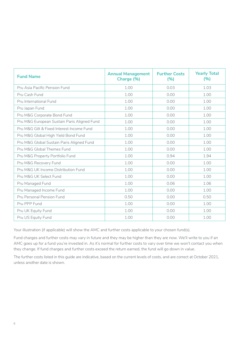| <b>Fund Name</b>                            | <b>Annual Management</b><br>Charge (%) | <b>Further Costs</b><br>(%) | <b>Yearly Total</b><br>(%) |
|---------------------------------------------|----------------------------------------|-----------------------------|----------------------------|
| Pru Asia Pacific Pension Fund               | 1.00                                   | 0.03                        | 1.03                       |
| Pru Cash Fund                               | 1.00                                   | 0.00                        | 1.00                       |
| Pru International Fund                      | 1.00                                   | 0.00                        | 1.00                       |
| Pru Japan Fund                              | 1.00                                   | 0.00                        | 1.00                       |
| Pru M&G Corporate Bond Fund                 | 1.00                                   | 0.00                        | 1.00                       |
| Pru M&G European Sustain Paris Aligned Fund | 1.00                                   | 0.00                        | 1.00                       |
| Pru M&G Gilt & Fixed Interest Income Fund   | 1.00                                   | 0.00                        | 1.00                       |
| Pru M&G Global High Yield Bond Fund         | 1.00                                   | 0.00                        | 1.00                       |
| Pru M&G Global Sustain Paris Aligned Fund   | 1.00                                   | 0.00                        | 1.00                       |
| Pru M&G Global Themes Fund                  | 1.00                                   | 0.00                        | 1.00                       |
| Pru M&G Property Portfolio Fund             | 1.00                                   | 0.94                        | 1.94                       |
| Pru M&G Recovery Fund                       | 1.00                                   | 0.00                        | 1.00                       |
| Pru M&G UK Income Distribution Fund         | 1.00                                   | 0.00                        | 1.00                       |
| Pru M&G UK Select Fund                      | 1.00                                   | 0.00                        | 1.00                       |
| Pru Managed Fund                            | 1.00                                   | 0.06                        | 1.06                       |
| Pru Managed Income Fund                     | 1.00                                   | 0.00                        | 1.00                       |
| Pru Personal Pension Fund                   | 0.50                                   | 0.00                        | 0.50                       |
| Pru PPP Fund                                | 1.00                                   | 0.00                        | 1.00                       |
| Pru UK Equity Fund                          | 1.00                                   | 0.00                        | 1.00                       |
| Pru US Equity Fund                          | 1.00                                   | 0.00                        | 1.00                       |

Your illustration (if applicable) will show the AMC and further costs applicable to your chosen fund(s).

Fund charges and further costs may vary in future and they may be higher than they are now. We'll write to you if an AMC goes up for a fund you're invested in. As it's normal for further costs to vary over time we won't contact you when they change. If fund charges and further costs exceed the return earned, the fund will go down in value.

The further costs listed in this guide are indicative, based on the current levels of costs, and are correct at October 2021, unless another date is shown.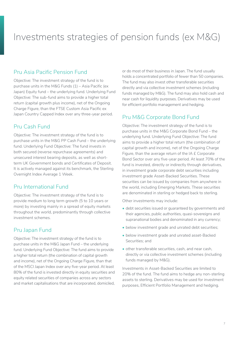## <span id="page-6-0"></span>Investments strategies of pension funds (ex M&G)

#### Pru Asia Pacific Pension Fund

Objective: The investment strategy of the fund is to purchase units in the M&G Funds (1) – Asia Pacific (ex Japan) Equity fund – the underlying fund. Underlying Fund Objective: The sub-fund aims to provide a higher total return (capital growth plus income), net of the Ongoing Charge Figure, than the FTSE Custom Asia Pacific ex Japan Country Capped Index over any three-year period.

#### Pru Cash Fund

Objective: The investment strategy of the fund is to purchase units in the M&G PP Cash Fund – the underlying fund. Underlying Fund Objective: The fund invests in both secured (reverse repurchase agreements) and unsecured interest bearing deposits, as well as shortterm UK Government bonds and Certificates of Deposit. It is actively managed against its benchmark, the Sterling Overnight Index Average 1 Week.

#### Pru International Fund

Objective: The investment strategy of the fund is to provide medium to long term growth (5 to 10 years or more) by investing mainly in a spread of equity markets throughout the world, predominantly through collective investment schemes.

#### Pru Japan Fund

Objective: The investment strategy of the fund is to purchase units in the M&G Japan Fund – the underlying fund. Underlying Fund Objective: The fund aims to provide a higher total return (the combination of capital growth and income), net of the Ongoing Charge Figure, than that of the MSCI Japan Index over any five-year period. At least 80% of the fund is invested directly in equity securities and equity related securities of companies across any sectors and market capitalisations that are incorporated, domiciled,

or do most of their business in Japan. The fund usually holds a concentrated portfolio of fewer than 50 companies. The fund may also invest other transferable securities directly and via collective investment schemes (including funds managed by M&G). The fund may also hold cash and near cash for liquidity purposes. Derivatives may be used for efficient portfolio management and hedging.

#### Pru M&G Corporate Bond Fund

Objective: The investment strategy of the fund is to purchase units in the M&G Corporate Bond Fund – the underlying fund. Underlying Fund Objective: The fund aims to provide a higher total return (the combination of capital growth and income), net of the Ongoing Charge Figure, than the average return of the IA £ Corporate Bond Sector over any five-year period. At least 70% of the fund is invested, directly or indirectly through derivatives, in investment grade corporate debt securities including investment grade Asset-Backed Securities. These securities can be issued by companies from anywhere in the world, including Emerging Markets. These securities are denominated in sterling or hedged back to sterling.

Other investments may include:

- debt securities issued or guaranteed by governments and their agencies, public authorities, quasi-sovereigns and supranational bodies and denominated in any currency;
- below investment grade and unrated debt securities;
- below investment grade and unrated asset-Backed Securities; and
- other transferable securities, cash, and near cash, directly or via collective investment schemes (including funds managed by M&G).

Investments in Asset-Backed Securities are limited to 20% of the fund. The fund aims to hedge any non-sterling assets to sterling. Derivatives may be used for investment purposes, Efficient Portfolio Management and hedging.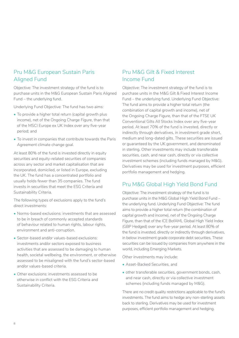#### Pru M&G European Sustain Paris Aligned Fund

Objective: The investment strategy of the fund is to purchase units in the M&G European Sustain Paris Aligned Fund – the underlying fund.

Underlying Fund Objective: The fund has two aims:

- To provide a higher total return (capital growth plus income), net of the Ongoing Charge Figure, than that of the MSCI Europe ex UK Index over any five-year period; and
- To invest in companies that contribute towards the Paris Agreement climate change goal.

At least 80% of the fund is invested directly in equity securities and equity-related securities of companies across any sector and market capitalisation that are incorporated, domiciled, or listed in Europe, excluding the UK. The fund has a concentrated portfolio and usually holds fewer than 35 companies. The fund invests in securities that meet the ESG Criteria and Sustainability Criteria.

The following types of exclusions apply to the fund's direct investments:

- Norms-based exclusions: investments that are assessed to be in breach of commonly accepted standards of behaviour related to human rights, labour rights, environment and anti-corruption.
- Sector-based and/or values-based exclusions: investments and/or sectors exposed to business activities that are assessed to be damaging to human health, societal wellbeing, the environment, or otherwise assessed to be misaligned with the fund's sector-based and/or values-based criteria.
- Other exclusions: investments assessed to be otherwise in conflict with the ESG Criteria and Sustainability Criteria.

#### Pru M&G Gilt & Fixed Interest Income Fund

Objective: The investment strategy of the fund is to purchase units in the M&G Gilt & Fixed Interest Income Fund – the underlying fund. Underlying Fund Objective: The fund aims to provide a higher total return (the combination of capital growth and income), net of the Ongoing Charge Figure, than that of the FTSE UK Conventional Gilts All Stocks Index over any five-year period. At least 70% of the fund is invested, directly or indirectly through derivatives, in investment grade short, medium and long-dated gilts. These securities are issued or guaranteed by the UK government, and denominated in sterling. Other investments may include transferable securities, cash, and near cash, directly or via collective investment schemes (including funds managed by M&G). Derivatives may be used for investment purposes, efficient portfolio management and hedging.

#### Pru M&G Global High Yield Bond Fund

Objective: The investment strategy of the fund is to purchase units in the M&G Global High Yield Bond Fund – the underlying fund. Underlying Fund Objective: The fund aims to provide a higher total return (the combination of capital growth and income), net of the Ongoing Charge Figure, than that of the ICE BofAML Global High Yield Index (GBP Hedged) over any five-year period. At least 80% of the fund is invested, directly or indirectly through derivatives, in below investment grade corporate debt securities, These securities can be issued by companies from anywhere in the world, including Emerging Markets.

Other investments may include:

- Asset-Backed Securities, and
- other transferable securities, government bonds, cash, and near cash, directly or via collective investment schemes (including funds managed by M&G).

There are no credit quality restrictions applicable to the fund's investments. The fund aims to hedge any non-sterling assets back to sterling. Derivatives may be used for investment purposes, efficient portfolio management and hedging.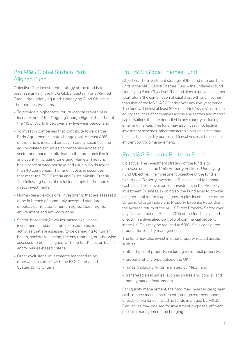#### Pru M&G Global Sustain Paris Aligned Fund

Objective: The investment strategy of the fund is to purchase units in the M&G Global Sustain Paris Aligned Fund – the underlying fund. Underlying Fund Objective: The fund has two aims:

- To provide a higher total return (capital growth plus income), net of the Ongoing Charge Figure, than that of the MSCI World Index over any five-year period; and
- To invest in companies that contribute towards the Paris Agreement climate change goal. At least 80% of the fund is invested directly in equity securities and equity-related securities of companies across any sector and market capitalisation that are domiciled in any country, including Emerging Markets. The fund has a concentrated portfolio and usually holds fewer than 40 companies. The fund invests in securities that meet the ESG Criteria and Sustainability Criteria. The following types of exclusions apply to the fund's direct investments:
- Norms-based exclusions: investments that are assessed to be in breach of commonly accepted standards of behaviour related to human rights, labour rights, environment and anti-corruption.
- Sector-based and/or values-based exclusions: investments and/or sectors exposed to business activities that are assessed to be damaging to human health, societal wellbeing, the environment, or otherwise assessed to be misaligned with the fund's sector-based and/or values-based criteria.
- Other exclusions: investments assessed to be otherwise in conflict with the ESG Criteria and Sustainability Criteria.

#### Pru M&G Global Themes Fund

Objective: The investment strategy of the fund is to purchase units in the M&G Global Themes Fund – the underlying fund. Underlying Fund Objective: The fund aims to provide a higher total return (the combination of capital growth and income) than that of the MSCI ACWI Index over any five-year period. The fund will invest at least 80% of its Net Asset Value in the equity securities of companies across any sectors and market capitalisations that are domiciled in any country, including emerging markets. The fund may also invest in collective investment schemes, other transferable securities and may hold cash for liquidity purposes. Derivatives may be used for efficient portfolio management.

#### Pru M&G Property Portfolio Fund

Objective: The investment strategy of the fund is to purchase units in the M&G Property Portfolio. Underlying Fund Objective: The investment objective of the fund is to carry on Property Investment Business and to manage cash raised from investors for investment in the Property Investment Business. In doing so, the Fund aims to provide a higher total return (capital growth plus income), net of the Ongoing Charge Figure and Property Expense Ratio, than the average return of the IA UK Direct Property Sector over any five-year period. At least 70% of the fund is invested directly in a diversified portfolio of commercial property in the UK. This may be reduced to 60%, if it is considered prudent for liquidity management.

The fund may also invest in other property related assets such as:

- other types of property, including residential property;
- property of any type outside the UK;
- funds (including funds managed by M&G); and
- transferable securities (such as shares and bonds); and money market instruments.

For liquidity management, the fund may invest in cash; near cash; money market instruments; and government bonds, directly, or via funds (including funds managed by M&G). Derivatives may be used for investment purposes, efficient portfolio management and hedging.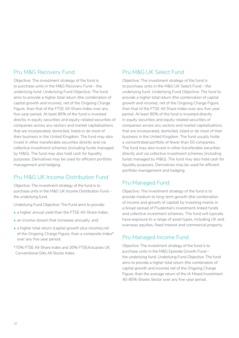#### Pru M&G Recovery Fund

Objective: The investment strategy of the fund is to purchase units in the M&G Recovery Fund – the underlying fund. Underlying Fund Objective: The fund aims to provide a higher total return (the combination of capital growth and income), net of the Ongoing Charge Figure, than that of the FTSE All-Share Index over any five-year period. At least 80% of the fund is invested directly in equity securities and equity-related securities of companies across any sectors and market capitalisations that are incorporated, domiciled, listed or do most of their business in the United Kingdom. The fund may also invest in other transferable securities directly and via collective investment schemes (including funds managed by M&G). The fund may also hold cash for liquidity purposes. Derivatives may be used for efficient portfolio management and hedging.

#### Pru M&G UK Income Distribution Fund

Objective: The investment strategy of the fund is to purchase units in the M&G UK Income Distribution Fund – the underlying fund.

Underlying Fund Objective: The Fund aims to provide:

- a higher annual yield than the FTSE All-Share Index;
- an income stream that increases annually; and
- a higher total return (capital growth plus income),net of the Ongoing Charge Figure, than a composite index\* over any five year period.
- \*70% FTSE All-Share Index and 30% FTSEActuaries UK Conventional Gilts All Stocks Index.

#### Pru M&G UK Select Fund

Objective: The investment strategy of the fund is to purchase units in the M&G UK Select Fund – the underlying fund. Underlying Fund Objective: The fund to provide a higher total return (the combination of capital growth and income), net of the Ongoing Charge Figure, than that of the FTSE All Share Index over any five-year period. At least 80% of the fund is invested directly in equity securities and equity-related securities of companies across any sectors and market capitalisations, that are incorporated, domiciled, listed or do most of their business in the United Kingdom. The fund usually holds a concentrated portfolio of fewer than 50 companies. The fund may also invest in other transferable securities directly and via collective investment schemes (including funds managed by M&G). The fund may also hold cash for liquidity purposes. Derivatives may be used for efficient portfolio management and hedging.

#### Pru Managed Fund

Objective: The investment strategy of the fund is to provide medium to long-term growth (the combination of income and growth of capital) by investing mainly in a broad spread of Prudential's investment-linked funds and collective investment schemes. The fund will typically have exposure to a range of asset types, including UK and overseas equities, fixed interest and commercial property.

#### Pru Managed Income Fund

Objective: The investment strategy of the fund is to purchase units in the M&G Episode Growth Fund – the underlying fund. Underlying Fund Objective: The fund aims to provide a higher total return (the combination of capital growth and income) net of the Ongoing Charge Figure, than the average return of the IA Mixed Investment 40-85% Shares Sector over any five-year period.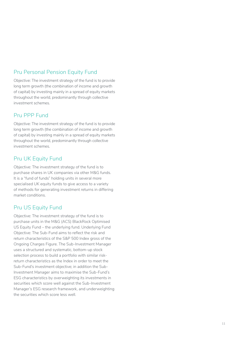#### Pru Personal Pension Equity Fund

Objective: The investment strategy of the fund is to provide long term growth (the combination of income and growth of capital) by investing mainly in a spread of equity markets throughout the world, predominantly through collective investment schemes.

#### Pru PPP Fund

Objective: The investment strategy of the fund is to provide long term growth (the combination of income and growth of capital) by investing mainly in a spread of equity markets throughout the world, predominantly through collective investment schemes.

#### Pru UK Equity Fund

Objective: The investment strategy of the fund is to purchase shares in UK companies via other M&G funds. It is a "fund of funds" holding units in several more specialised UK equity funds to give access to a variety of methods for generating investment returns in differing market conditions.

#### Pru US Equity Fund

Objective: The investment strategy of the fund is to purchase units in the M&G (ACS) BlackRock Optimised US Equity Fund – the underlying fund. Underlying Fund Objective: The Sub-Fund aims to reflect the risk and return characteristics of the S&P 500 Index gross of the Ongoing Charges Figure. The Sub-Investment Manager uses a structured and systematic, bottom-up stock selection process to build a portfolio with similar riskreturn characteristics as the Index in order to meet the Sub-Fund's investment objective; in addition the Sub-Investment Manager aims to maximise the Sub-Fund's ESG characteristics by overweighting its investments in securities which score well against the Sub-Investment Manager's ESG research framework, and underweighting the securities which score less well.